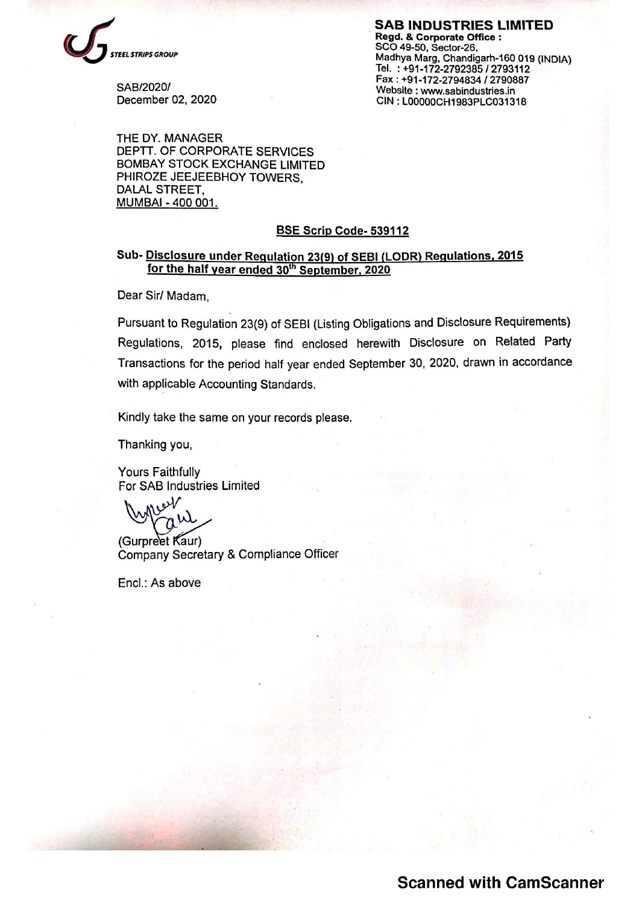

SAB INDUSTRIES LIMITED<br>Regd. & Corporate Office : EL STRIPS GROUP<br>EL STRIPS GROUP<br>Tel. : +91-172-2792385 / 2793112<br>Fax : +91-172-2794834 / 2790887 Fax : +91-172-2794847 2796681<br>December 02, 2020 Website : www.sabindustries.in<br>CIN : L00000CH1983PLC031318

THE DY. MANAGER DEPTT. OF CORPORATE SERVICES BOMBAY STOCK EXCHANGE LIMITED PHIROZE JEEJEEBHOY TOWERS, DALAL STREET, MUMBAI - 400 001.

#### BSE Scrip Code- 539112

### Sub- Disclosure under Requlation 23(9) of SEBI (LODR) Requlations, 2015 for the half year ended 30<sup>th</sup> September, 2020

Dear Sir/ Madam,

Pursuant to Regulation 23(9) of SEBI (Listing Obligations and Disclosure Requirements) Regulations, 2015, please find enclosed herewith Disclosure on Related Party Transactions for the period half year ended September 30, 2020, drawn in accordance with applicable Accounting Standards.

Kindly take the same on your records please.

Thanking you,

Yours Faithfully For SAB Industries Limited<br>
Wwww

(Gurpreet Kaur) Company Secretary & Compliance Officer

ademas

Encl.: As above